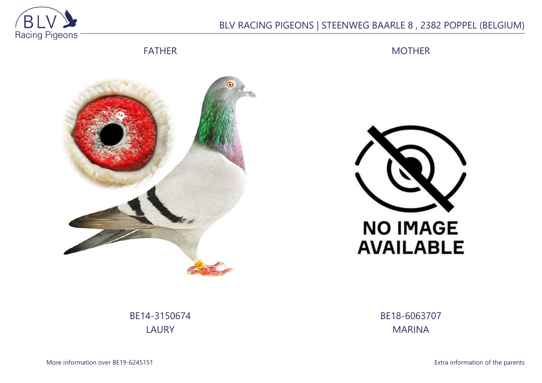

## BLV RACING PIGEONS | STEENWEG BAARLE 8 , 2382 POPPEL (BELGIUM)

FATHER

MOTHER





BE14-3150674 LAURY

BE18-6063707 MARINA

More information over BE19-6245151 **Extra information of the parents**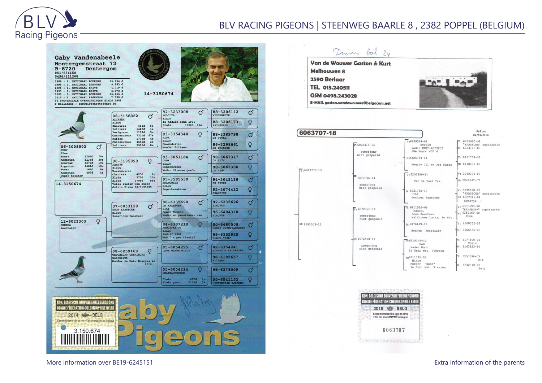

## BLV RACING PIGEONS | STEENWEG BAARLE 8 , 2382 POPPEL (BELGIUM)



More information over BE19-6245151 **Extra information of the parents** extra information of the parents

 $d$ atum

24/09/2018

"KAASBOER" superkweke

"KAASBOER" superkweke M: 6307341-04

"KAASBOER" superkweker

Beja

 $IV. 6335600 - 00$ 

M: 6033110-07

V: 6151734-99

M: 6110291-07

V: 2249379-07

M: 2249347-07

6335690-98

Greetie

 $.6335690-98$ 

 $6259169 - 08$ 

Erna

V: 2100552-09

M: 3006565-05

v: 6177698-08 Niels

 $M: 6163823 - 10$ 

V: 6257098-03  $Rik$ 

M: 6242318-07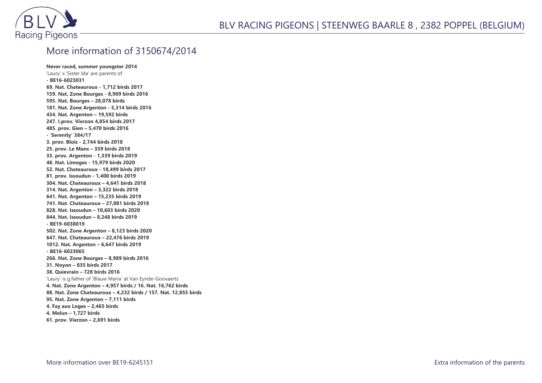

## More information of 3150674/2014

**Never raced, summer youngster 2014** 'Laury' x 'Sister Ida' are parents of **- BE16-6023031 69. Nat. Chateauroux - 1,712 birds 2017 159. Nat. Zone Bourges - 8,989 birds 2016 595. Nat. Bourges – 28,078 birds 181. Nat. Zone Argenton - 5,314 birds 2016 434. Nat. Argenton – 19,592 birds 247. I.prov. Vierzon 4,854 birds 2017 485. prov. Gien – 5,470 birds 2016 - 'Serenity' 384/17 3. prov. Blois - 2,744 birds 2018 25. prov. Le Mans – 359 birds 2018 33. prov. Argenton - 1,339 birds 2019 48. Nat. Limoges - 15,979 birds 2020 52. Nat. Chateauroux - 18,499 birds 2017 81. prov. Issoudun - 1,400 birds 2019 304. Nat. Chateauroux – 4,641 birds 2018 314. Nat. Argenton – 3,322 birds 2018 641. Nat. Argenton – 15,235 birds 2019 741. Nat. Chateauroux – 27,081 birds 2018 828. Nat. Issoudun – 10,603 birds 2020 844. Nat. Issoudun – 8,248 birds 2019 - BE19-6038019 502. Nat. Zone Argenton – 8,123 birds 2020 647. Nat. Chateauroux – 22,476 birds 2019 1012. Nat. Argenton – 6,647 birds 2019 - BE16-6023065 266. Nat. Zone Bourges – 8,989 birds 2016 31. Noyon – 835 birds 2017 38. Quievrain – 728 birds 2016** 'Laury' is g.father of 'Blauw Maria' at Van Eynde-Goovaerts **4. Nat. Zone Argenton – 4,957 birds / 16. Nat. 16,762 birds 88. Nat. Zone Chateauroux – 4,232 birds / 157. Nat. 12,855 birds 95. Nat. Zone Argenton – 7,111 birds 4. Fay aux Loges – 2,465 birds 4. Melun – 1,727 birds 61. prov. Vierzon – 2,691 birds**